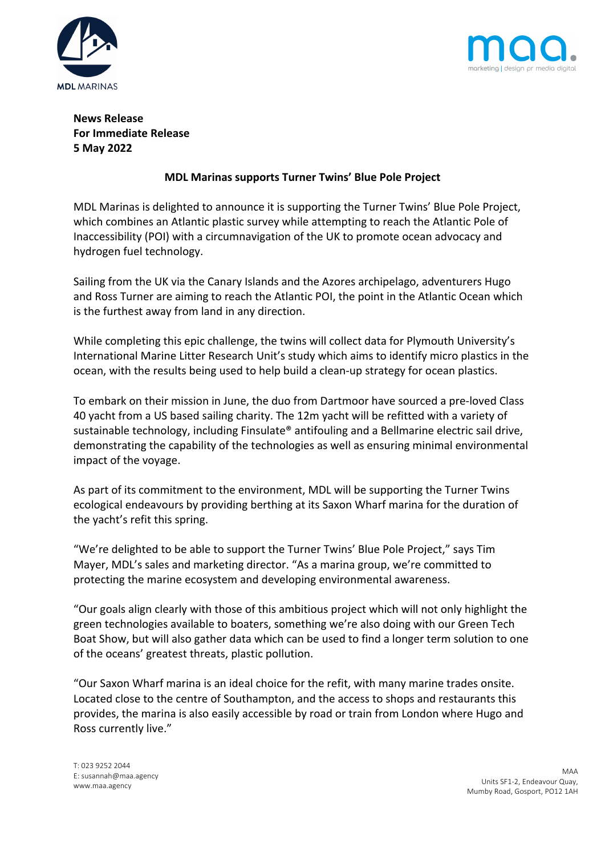



# **News Release For Immediate Release 5 May 2022**

## **MDL Marinas supports Turner Twins' Blue Pole Project**

MDL Marinas is delighted to announce it is supporting the Turner Twins' Blue Pole Project, which combines an Atlantic plastic survey while attempting to reach the Atlantic Pole of Inaccessibility (POI) with a circumnavigation of the UK to promote ocean advocacy and hydrogen fuel technology.

Sailing from the UK via the Canary Islands and the Azores archipelago, adventurers Hugo and Ross Turner are aiming to reach the Atlantic POI, the point in the Atlantic Ocean which is the furthest away from land in any direction.

While completing this epic challenge, the twins will collect data for Plymouth University's International Marine Litter Research Unit's study which aims to identify micro plastics in the ocean, with the results being used to help build a clean-up strategy for ocean plastics.

To embark on their mission in June, the duo from Dartmoor have sourced a pre-loved Class 40 yacht from a US based sailing charity. The 12m yacht will be refitted with a variety of sustainable technology, including Finsulate® antifouling and a Bellmarine electric sail drive, demonstrating the capability of the technologies as well as ensuring minimal environmental impact of the voyage.

As part of its commitment to the environment, MDL will be supporting the Turner Twins ecological endeavours by providing berthing at its Saxon Wharf marina for the duration of the yacht's refit this spring.

"We're delighted to be able to support the Turner Twins' Blue Pole Project," says Tim Mayer, MDL's sales and marketing director. "As a marina group, we're committed to protecting the marine ecosystem and developing environmental awareness.

"Our goals align clearly with those of this ambitious project which will not only highlight the green technologies available to boaters, something we're also doing with our Green Tech Boat Show, but will also gather data which can be used to find a longer term solution to one of the oceans' greatest threats, plastic pollution.

"Our Saxon Wharf marina is an ideal choice for the refit, with many marine trades onsite. Located close to the centre of Southampton, and the access to shops and restaurants this provides, the marina is also easily accessible by road or train from London where Hugo and Ross currently live."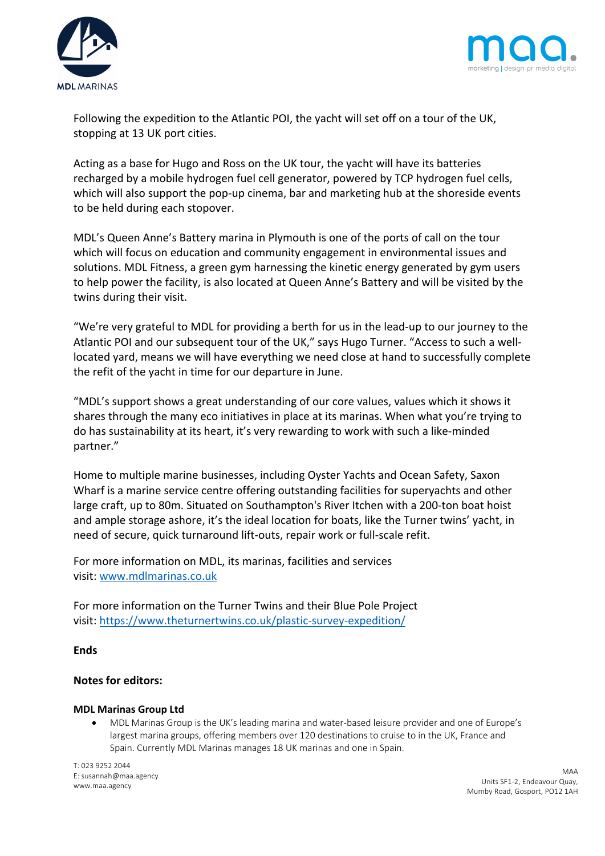



Following the expedition to the Atlantic POI, the yacht will set off on a tour of the UK, stopping at 13 UK port cities.

Acting as a base for Hugo and Ross on the UK tour, the yacht will have its batteries recharged by a mobile hydrogen fuel cell generator, powered by TCP hydrogen fuel cells, which will also support the pop-up cinema, bar and marketing hub at the shoreside events to be held during each stopover.

MDL's Queen Anne's Battery marina in Plymouth is one of the ports of call on the tour which will focus on education and community engagement in environmental issues and solutions. MDL Fitness, a green gym harnessing the kinetic energy generated by gym users to help power the facility, is also located at Queen Anne's Battery and will be visited by the twins during their visit.

"We're very grateful to MDL for providing a berth for us in the lead-up to our journey to the Atlantic POI and our subsequent tour of the UK," says Hugo Turner. "Access to such a welllocated yard, means we will have everything we need close at hand to successfully complete the refit of the yacht in time for our departure in June.

"MDL's support shows a great understanding of our core values, values which it shows it shares through the many eco initiatives in place at its marinas. When what you're trying to do has sustainability at its heart, it's very rewarding to work with such a like-minded partner."

Home to multiple marine businesses, including Oyster Yachts and Ocean Safety, Saxon Wharf is a marine service centre offering outstanding facilities for superyachts and other large craft, up to 80m. Situated on Southampton's River Itchen with a 200-ton boat hoist and ample storage ashore, it's the ideal location for boats, like the Turner twins' yacht, in need of secure, quick turnaround lift-outs, repair work or full-scale refit.

For more information on MDL, its marinas, facilities and services visit: www.mdlmarinas.co.uk

For more information on the Turner Twins and their Blue Pole Project visit: https://www.theturnertwins.co.uk/plastic-survey-expedition/

## **Ends**

## **Notes for editors:**

#### **MDL Marinas Group Ltd**

• MDL Marinas Group is the UK's leading marina and water-based leisure provider and one of Europe's largest marina groups, offering members over 120 destinations to cruise to in the UK, France and Spain. Currently MDL Marinas manages 18 UK marinas and one in Spain.

T: 023 9252 2044 E: susannah@maa.agency www.maa.agency

MAA Units SF1-2, Endeavour Quay, Mumby Road, Gosport, PO12 1AH